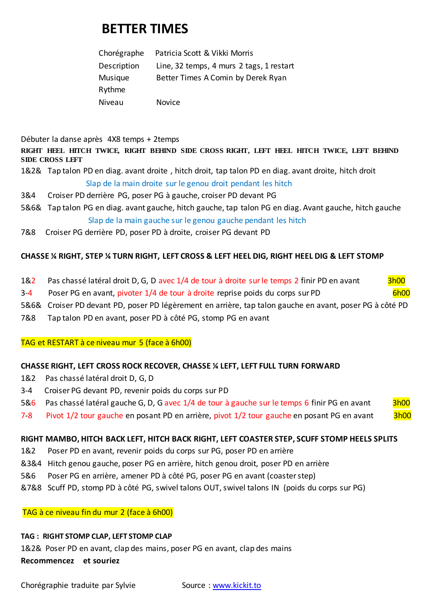# **BETTER TIMES**

| Chorégraphe | Patricia Scott & Vikki Morris            |
|-------------|------------------------------------------|
| Description | Line, 32 temps, 4 murs 2 tags, 1 restart |
| Musique     | Better Times A Comin by Derek Ryan       |
| Rythme      |                                          |
| Niveau      | <b>Novice</b>                            |

Débuter la danse après 4X8 temps + 2temps

**RIGHT HEEL HITCH TWICE, RIGHT BEHIND SIDE CROSS RIGHT, LEFT HEEL HITCH TWICE, LEFT BEHIND SIDE CROSS LEFT**

- 1&2& Tap talon PD en diag. avant droite , hitch droit, tap talon PD en diag. avant droite, hitch droit Slap de la main droite sur le genou droit pendant les hitch
- 3&4 Croiser PD derrière PG, poser PG à gauche, croiser PD devant PG
- 5&6& Tap talon PG en diag. avant gauche, hitch gauche, tap talon PG en diag. Avant gauche, hitch gauche Slap de la main gauche sur le genou gauche pendant les hitch
- 7&8 Croiser PG derrière PD, poser PD à droite, croiser PG devant PD

## **CHASSE ¼ RIGHT, STEP ¼ TURN RIGHT, LEFT CROSS & LEFT HEEL DIG, RIGHT HEEL DIG & LEFT STOMP**

- 1&2 Pas chassé latéral droit D, G, D avec 1/4 de tour à droite sur le temps 2 finir PD en avant 3h00
- 3-4 Poser PG en avant, pivoter 1/4 de tour à droite reprise poids du corps sur PD 6h00
- 5&6& Croiser PD devant PD, poser PD légèrement en arrière, tap talon gauche en avant, poser PG à côté PD
- 7&8 Tap talon PD en avant, poser PD à côté PG, stomp PG en avant

TAG et RESTART à ce niveau mur 5 (face à 6h00)

### **CHASSE RIGHT, LEFT CROSS ROCK RECOVER, CHASSE ¼ LEFT, LEFT FULL TURN FORWARD**

- 1&2 Pas chassé latéral droit D, G, D
- 3-4 Croiser PG devant PD, revenir poids du corps sur PD

### 5&6 Pas chassé latéral gauche G, D, G avec 1/4 de tour à gauche sur le temps 6 finir PG en avant 3h00

7-8 Pivot 1/2 tour gauche en posant PD en arrière, pivot 1/2 tour gauche en posant PG en avant 3h00

### **RIGHT MAMBO, HITCH BACK LEFT, HITCH BACK RIGHT, LEFT COASTER STEP, SCUFF STOMP HEELS SPLITS**

- 1&2 Poser PD en avant, revenir poids du corps sur PG, poser PD en arrière
- &3&4 Hitch genou gauche, poser PG en arrière, hitch genou droit, poser PD en arrière
- 5&6 Poser PG en arrière, amener PD à côté PG, poser PG en avant (coaster step)
- &7&8 Scuff PD, stomp PD à côté PG, swivel talons OUT, swivel talons IN (poids du corps sur PG)

TAG à ce niveau fin du mur 2 (face à 6h00)

### **TAG : RIGHT STOMP CLAP, LEFT STOMP CLAP**

1&2& Poser PD en avant, clap des mains, poser PG en avant, clap des mains

### **Recommencez et souriez**